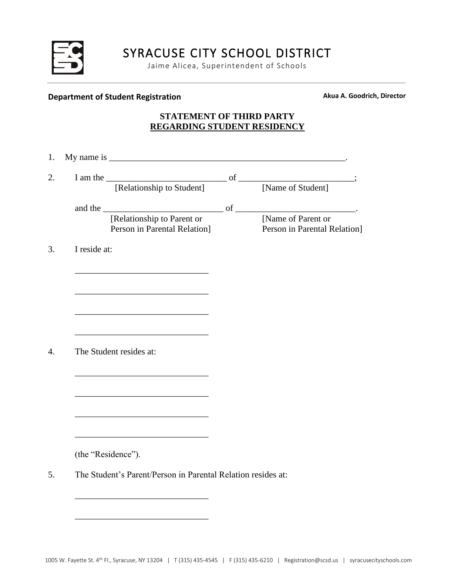

Jaime Alicea, Superintendent of Schools

## **Department of Student Registration Akua A. Goodrich, Director**

## **STATEMENT OF THIRD PARTY REGARDING STUDENT RESIDENCY**

| 1. |                                                                     |                                                           |
|----|---------------------------------------------------------------------|-----------------------------------------------------------|
| 2. | I am the<br>[Relationship to Student] of<br>[Name of Student]       |                                                           |
|    |                                                                     |                                                           |
|    | and the $\qquad \qquad$ of $\qquad \qquad$ .                        |                                                           |
|    | [Relationship to Parent or [Name of Parent or                       |                                                           |
|    |                                                                     | Person in Parental Relation] Person in Parental Relation] |
| 3. | I reside at:                                                        |                                                           |
|    |                                                                     |                                                           |
|    |                                                                     |                                                           |
|    |                                                                     |                                                           |
|    |                                                                     |                                                           |
|    |                                                                     |                                                           |
|    | <u> 1989 - Johann John Stone, mars eta biztanleria (</u>            |                                                           |
| 4. | The Student resides at:                                             |                                                           |
|    |                                                                     |                                                           |
|    |                                                                     |                                                           |
|    |                                                                     |                                                           |
|    |                                                                     |                                                           |
|    | <u> 1989 - Johann Barbara, martxa alemaniar amerikan basar da a</u> |                                                           |
|    |                                                                     |                                                           |
|    |                                                                     |                                                           |
|    | (the "Residence").                                                  |                                                           |
| 5. | The Student's Parent/Person in Parental Relation resides at:        |                                                           |
|    |                                                                     |                                                           |
|    |                                                                     |                                                           |

\_\_\_\_\_\_\_\_\_\_\_\_\_\_\_\_\_\_\_\_\_\_\_\_\_\_\_\_\_\_